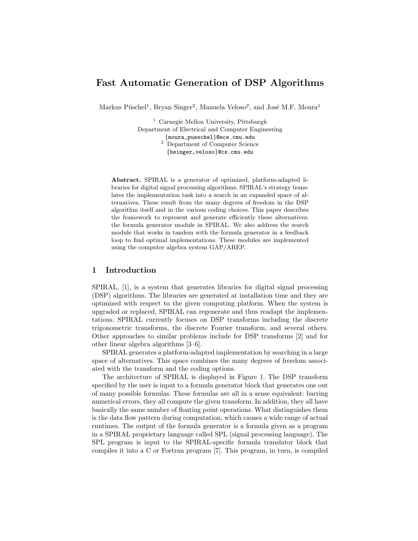# Fast Automatic Generation of DSP Algorithms

Markus Püschel<sup>1</sup>, Bryan Singer<sup>2</sup>, Manuela Veloso<sup>2</sup>, and José M.F. Moura<sup>1</sup>

<sup>1</sup> Carnegie Mellon University, Pittsburgh Department of Electrical and Computer Engineering {moura,pueschel}@ece.cmu.edu <sup>2</sup> Department of Computer Science {bsinger,veloso}@cs.cmu.edu

Abstract. SPIRAL is a generator of optimized, platform-adapted libraries for digital signal processing algorithms. SPIRAL's strategy translates the implementation task into a search in an expanded space of alternatives. These result from the many degrees of freedom in the DSP algorithm itself and in the various coding choices. This paper describes the framework to represent and generate efficiently these alternatives: the formula generator module in SPIRAL. We also address the search module that works in tandem with the formula generator in a feedback loop to find optimal implementations. These modules are implemented using the computer algebra system GAP/AREP.

## 1 Introduction

SPIRAL, [1], is a system that generates libraries for digital signal processing (DSP) algorithms. The libraries are generated at installation time and they are optimized with respect to the given computing platform. When the system is upgraded or replaced, SPIRAL can regenerate and thus readapt the implementations. SPIRAL currently focuses on DSP transforms including the discrete trigonometric transforms, the discrete Fourier transform, and several others. Other approaches to similar problems include for DSP transforms [2] and for other linear algebra algorithms [3–6].

SPIRAL generates a platform-adapted implementation by searching in a large space of alternatives. This space combines the many degrees of freedom associated with the transform and the coding options.

The architecture of SPIRAL is displayed in Figure 1. The DSP transform specified by the user is input to a formula generator block that generates one out of many possible formulas. These formulas are all in a sense equivalent: barring numerical errors, they all compute the given transform. In addition, they all have basically the same number of floating point operations. What distinguishes them is the data flow pattern during computation, which causes a wide range of actual runtimes. The output of the formula generator is a formula given as a program in a SPIRAL proprietary language called SPL (signal processing language). The SPL program is input to the SPIRAL-specific formula translator block that compiles it into a C or Fortran program [7]. This program, in turn, is compiled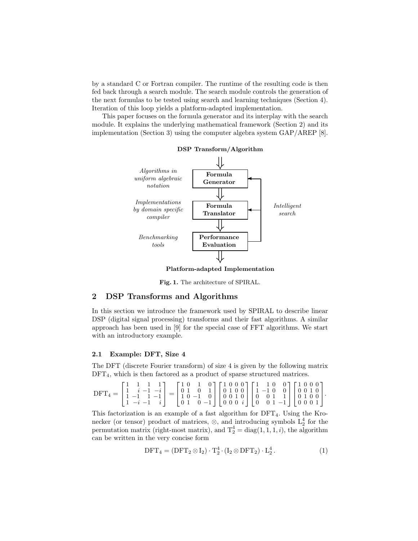by a standard C or Fortran compiler. The runtime of the resulting code is then fed back through a search module. The search module controls the generation of the next formulas to be tested using search and learning techniques (Section 4). Iteration of this loop yields a platform-adapted implementation.

This paper focuses on the formula generator and its interplay with the search module. It explains the underlying mathematical framework (Section 2) and its implementation (Section 3) using the computer algebra system GAP/AREP [8].



Platform-adapted Implementation

Fig. 1. The architecture of SPIRAL.

# 2 DSP Transforms and Algorithms

In this section we introduce the framework used by SPIRAL to describe linear DSP (digital signal processing) transforms and their fast algorithms. A similar approach has been used in [9] for the special case of FFT algorithms. We start with an introductory example.

#### 2.1 Example: DFT, Size 4

The DFT (discrete Fourier transform) of size 4 is given by the following matrix DFT<sub>4</sub>, which is then factored as a product of sparse structured matrices.

$$
\text{DFT}_4 = \begin{bmatrix} 1 & 1 & 1 & 1 \\ 1 & i & -1 & -i \\ 1 & -1 & 1 & -1 \\ 1 & -i & -1 & i \end{bmatrix} = \begin{bmatrix} 1 & 0 & 1 & 0 \\ 0 & 1 & 0 & 1 \\ 1 & 0 & -1 & 0 \\ 0 & 1 & 0 & -1 \end{bmatrix} \begin{bmatrix} 1 & 0 & 0 & 0 \\ 0 & 1 & 0 & 0 \\ 0 & 0 & 1 & 0 \\ 0 & 0 & 0 & i \end{bmatrix} \begin{bmatrix} 1 & 1 & 0 & 0 \\ 1 & -1 & 0 & 0 \\ 0 & 0 & 1 & 1 \\ 0 & 0 & 0 & 1 \end{bmatrix} \begin{bmatrix} 1 & 0 & 0 & 0 \\ 0 & 0 & 1 & 0 \\ 0 & 0 & 1 & 1 \\ 0 & 0 & 0 & 1 \end{bmatrix}.
$$

This factorization is an example of a fast algorithm for  $DFT_4$ . Using the Kronecker (or tensor) product of matrices,  $\otimes$ , and introducing symbols  $L_2^4$  for the permutation matrix (right-most matrix), and  $T_2^4 = \text{diag}(1, 1, 1, i)$ , the algorithm can be written in the very concise form

$$
DFT_4 = (DFT_2 \otimes I_2) \cdot T_2^4 \cdot (I_2 \otimes DFT_2) \cdot L_2^4. \tag{1}
$$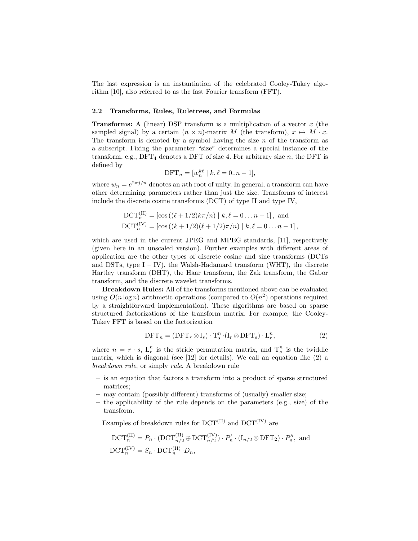The last expression is an instantiation of the celebrated Cooley-Tukey algorithm [10], also referred to as the fast Fourier transform (FFT).

#### 2.2 Transforms, Rules, Ruletrees, and Formulas

**Transforms:** A (linear) DSP transform is a multiplication of a vector  $x$  (the sampled signal) by a certain  $(n \times n)$ -matrix M (the transform),  $x \mapsto M \cdot x$ . The transform is denoted by a symbol having the size  $n$  of the transform as a subscript. Fixing the parameter "size" determines a special instance of the transform, e.g.,  $DFT_4$  denotes a DFT of size 4. For arbitrary size n, the DFT is defined by

$$
\text{DFT}_n = [w_n^{k\ell} \mid k, \ell = 0..n-1],
$$

where  $w_n = e^{2\pi i/n}$  denotes an *n*th root of unity. In general, a transform can have other determining parameters rather than just the size. Transforms of interest include the discrete cosine transforms (DCT) of type II and type IV,

$$
DCT_n^{(II)} = [\cos ((\ell + 1/2)k\pi/n) | k, \ell = 0...n - 1], \text{ and}
$$
  

$$
DCT_n^{(IV)} = [\cos ((k + 1/2)(\ell + 1/2)\pi/n) | k, \ell = 0...n - 1],
$$

which are used in the current JPEG and MPEG standards, [11], respectively (given here in an unscaled version). Further examples with different areas of application are the other types of discrete cosine and sine transforms (DCTs and DSTs, type  $I - IV$ , the Walsh-Hadamard transform (WHT), the discrete Hartley transform (DHT), the Haar transform, the Zak transform, the Gabor transform, and the discrete wavelet transforms.

Breakdown Rules: All of the transforms mentioned above can be evaluated using  $O(n \log n)$  arithmetic operations (compared to  $O(n^2)$  operations required by a straightforward implementation). These algorithms are based on sparse structured factorizations of the transform matrix. For example, the Cooley-Tukey FFT is based on the factorization

$$
\text{DFT}_n = (\text{DFT}_r \otimes \text{I}_s) \cdot \text{T}_s^n \cdot (\text{I}_r \otimes \text{DFT}_s) \cdot \text{L}_r^n,\tag{2}
$$

where  $n = r \cdot s$ ,  $L_r^n$  is the stride permutation matrix, and  $T_s^n$  is the twiddle matrix, which is diagonal (see [12] for details). We call an equation like (2) a breakdown rule, or simply rule. A breakdown rule

- is an equation that factors a transform into a product of sparse structured matrices;
- may contain (possibly different) transforms of (usually) smaller size;
- the applicability of the rule depends on the parameters (e.g., size) of the transform.

Examples of breakdown rules for  $DCT^{(II)}$  and  $DCT^{(IV)}$  are

$$
DCT_n^{(II)} = P_n \cdot (DCT_{n/2}^{(II)} \oplus DCT_{n/2}^{(IV)}) \cdot P'_n \cdot (I_{n/2} \otimes DFT_2) \cdot P''_n,
$$
 and  

$$
DCT_n^{(IV)} = S_n \cdot DCT_n^{(II)} \cdot D_n,
$$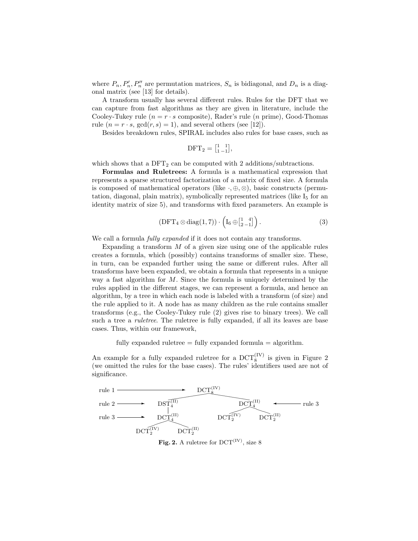where  $P_n, P'_n, P''_n$  are permutation matrices,  $S_n$  is bidiagonal, and  $D_n$  is a diagonal matrix (see [13] for details).

A transform usually has several different rules. Rules for the DFT that we can capture from fast algorithms as they are given in literature, include the Cooley-Tukey rule  $(n = r \cdot s \text{ composite})$ , Rader's rule  $(n \text{ prime})$ , Good-Thomas rule  $(n = r \cdot s, \gcd(r, s) = 1)$ , and several others (see [12]).

Besides breakdown rules, SPIRAL includes also rules for base cases, such as

$$
\text{DFT}_2 = \begin{bmatrix} 1 & 1 \\ 1 & -1 \end{bmatrix},
$$

which shows that a  $DFT_2$  can be computed with 2 additions/subtractions.

Formulas and Ruletrees: A formula is a mathematical expression that represents a sparse structured factorization of a matrix of fixed size. A formula is composed of mathematical operators (like  $\cdot, \oplus, \otimes$ ), basic constructs (permutation, diagonal, plain matrix), symbolically represented matrices (like  $I_5$  for an identity matrix of size 5), and transforms with fixed parameters. An example is

$$
(\text{DFT}_4 \otimes \text{diag}(1,7)) \cdot \left(\text{I}_6 \oplus \begin{bmatrix} 1 & 4 \\ 2 & -1 \end{bmatrix}\right). \tag{3}
$$

We call a formula *fully expanded* if it does not contain any transforms.

Expanding a transform  $M$  of a given size using one of the applicable rules creates a formula, which (possibly) contains transforms of smaller size. These, in turn, can be expanded further using the same or different rules. After all transforms have been expanded, we obtain a formula that represents in a unique way a fast algorithm for M. Since the formula is uniquely determined by the rules applied in the different stages, we can represent a formula, and hence an algorithm, by a tree in which each node is labeled with a transform (of size) and the rule applied to it. A node has as many children as the rule contains smaller transforms (e.g., the Cooley-Tukey rule (2) gives rise to binary trees). We call such a tree a ruletree. The ruletree is fully expanded, if all its leaves are base cases. Thus, within our framework,

fully expanded ruletree  $=$  fully expanded formula  $=$  algorithm.

An example for a fully expanded ruletree for a  $DCT_8^{(IV)}$  is given in Figure 2 (we omitted the rules for the base cases). The rules' identifiers used are not of significance.



Fig. 2. A ruletree for  $DCT^{(IV)}$ , size 8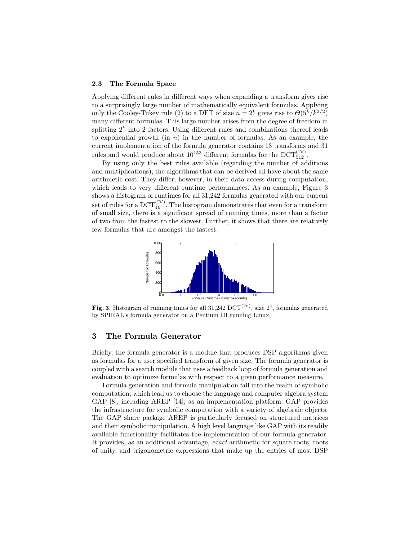#### 2.3 The Formula Space

Applying different rules in different ways when expanding a transform gives rise to a surprisingly large number of mathematically equivalent formulas. Applying only the Cooley-Tukey rule (2) to a DFT of size  $n = 2<sup>k</sup>$  gives rise to  $\Theta(5<sup>k</sup>/k<sup>3/2</sup>)$ many different formulas. This large number arises from the degree of freedom in splitting  $2<sup>k</sup>$  into 2 factors. Using different rules and combinations thereof leads to exponential growth (in  $n$ ) in the number of formulas. As an example, the current implementation of the formula generator contains 13 transforms and 31 rules and would produce about  $10^{153}$  different formulas for the  $DCT_{512}^{(IV)}$ .

By using only the best rules available (regarding the number of additions and multiplications), the algorithms that can be derived all have about the same arithmetic cost. They differ, however, in their data access during computation, which leads to very different runtime performances. As an example, Figure 3 shows a histogram of runtimes for all 31,242 formulas generated with our current set of rules for a  $\mathrm{DCT}_{16}^{(IV)}$ . The histogram demonstrates that even for a transform of small size, there is a significant spread of running times, more than a factor of two from the fastest to the slowest. Further, it shows that there are relatively few formulas that are amongst the fastest.



Fig. 3. Histogram of running times for all 31,242  $DCT^{(IV)}$ , size  $2<sup>4</sup>$ , formulas generated by SPIRAL's formula generator on a Pentium III running Linux.

### 3 The Formula Generator

Briefly, the formula generator is a module that produces DSP algorithms given as formulas for a user specified transform of given size. The formula generator is coupled with a search module that uses a feedback loop of formula generation and evaluation to optimize formulas with respect to a given performance measure.

Formula generation and formula manipulation fall into the realm of symbolic computation, which lead us to choose the language and computer algebra system GAP [8], including AREP [14], as an implementation platform. GAP provides the infrastructure for symbolic computation with a variety of algebraic objects. The GAP share package AREP is particularly focused on structured matrices and their symbolic manipulation. A high level language like GAP with its readily available functionality facilitates the implementation of our formula generator. It provides, as an additional advantage, exact arithmetic for square roots, roots of unity, and trigonometric expressions that make up the entries of most DSP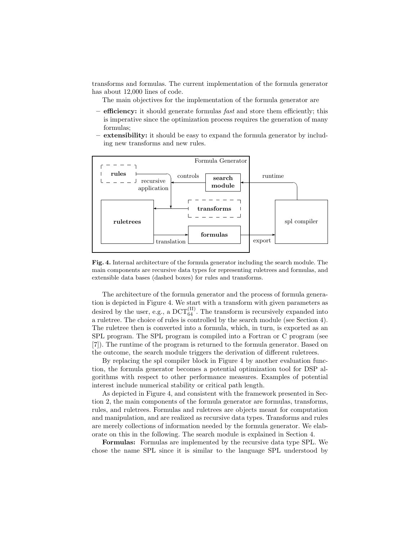transforms and formulas. The current implementation of the formula generator has about 12,000 lines of code.

The main objectives for the implementation of the formula generator are

- efficiency: it should generate formulas fast and store them efficiently; this is imperative since the optimization process requires the generation of many formulas;
- extensibility: it should be easy to expand the formula generator by including new transforms and new rules.



Fig. 4. Internal architecture of the formula generator including the search module. The main components are recursive data types for representing ruletrees and formulas, and extensible data bases (dashed boxes) for rules and transforms.

The architecture of the formula generator and the process of formula generation is depicted in Figure 4. We start with a transform with given parameters as desired by the user, e.g., a  $DCT_{64}^{(II)}$ . The transform is recursively expanded into a ruletree. The choice of rules is controlled by the search module (see Section 4). The ruletree then is converted into a formula, which, in turn, is exported as an SPL program. The SPL program is compiled into a Fortran or C program (see [7]). The runtime of the program is returned to the formula generator. Based on the outcome, the search module triggers the derivation of different ruletrees.

By replacing the spl compiler block in Figure 4 by another evaluation function, the formula generator becomes a potential optimization tool for DSP algorithms with respect to other performance measures. Examples of potential interest include numerical stability or critical path length.

As depicted in Figure 4, and consistent with the framework presented in Section 2, the main components of the formula generator are formulas, transforms, rules, and ruletrees. Formulas and ruletrees are objects meant for computation and manipulation, and are realized as recursive data types. Transforms and rules are merely collections of information needed by the formula generator. We elaborate on this in the following. The search module is explained in Section 4.

Formulas: Formulas are implemented by the recursive data type SPL. We chose the name SPL since it is similar to the language SPL understood by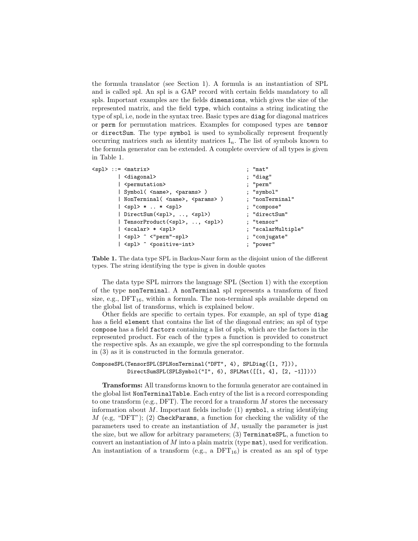the formula translator (see Section 1). A formula is an instantiation of SPL and is called spl. An spl is a GAP record with certain fields mandatory to all spls. Important examples are the fields dimensions, which gives the size of the represented matrix, and the field type, which contains a string indicating the type of spl, i.e, node in the syntax tree. Basic types are diag for diagonal matrices or perm for permutation matrices. Examples for composed types are tensor or directSum. The type symbol is used to symbolically represent frequently occurring matrices such as identity matrices  $I_n$ . The list of symbols known to the formula generator can be extended. A complete overview of all types is given in Table 1.

| $<$ spl> ::= $<$ matrix>                         | : "mat"            |
|--------------------------------------------------|--------------------|
| <diagonal></diagonal>                            | ; "diag"           |
| <permutation></permutation>                      | ; "perm"           |
| Symbol( <name>, <params> )</params></name>       | ; "symbol"         |
| NonTerminal( <name>, <params> )</params></name>  | ; "nonTerminal"    |
| $ \langle sp1 \rangle *  * \langle sp1 \rangle $ | ; "compose"        |
| DirectSum( <spl>, , <spl>)</spl></spl>           | ; "directSum"      |
| TensorProduct( <spl>, , <spl>)</spl></spl>       | : "tensor"         |
| <scalar> * <spl></spl></scalar>                  | ; "scalarMultiple" |
| $\vert$ <spl> ^ &lt;"perm"-spl&gt;</spl>         | ; "conjugate"      |
| <spl> ^ <positive-int></positive-int></spl>      | ; "power"          |

Table 1. The data type SPL in Backus-Naur form as the disjoint union of the different types. The string identifying the type is given in double quotes

The data type SPL mirrors the language SPL (Section 1) with the exception of the type nonTerminal. A nonTerminal spl represents a transform of fixed size, e.g.,  $DFT_{16}$ , within a formula. The non-terminal spls available depend on the global list of transforms, which is explained below.

Other fields are specific to certain types. For example, an spl of type diag has a field element that contains the list of the diagonal entries; an spl of type compose has a field factors containing a list of spls, which are the factors in the represented product. For each of the types a function is provided to construct the respective spls. As an example, we give the spl corresponding to the formula in (3) as it is constructed in the formula generator.

### ComposeSPL(TensorSPL(SPLNonTerminal("DFT", 4), SPLDiag([1, 7])), DirectSumSPL(SPLSymbol("I", 6), SPLMat([[1, 4], [2, -1]])))

Transforms: All transforms known to the formula generator are contained in the global list NonTerminalTable. Each entry of the list is a record corresponding to one transform (e.g., DFT). The record for a transform  $M$  stores the necessary information about  $M$ . Important fields include (1) symbol, a string identifying  $M$  (e.g, "DFT"); (2) CheckParams, a function for checking the validity of the parameters used to create an instantiation of  $M$ , usually the parameter is just the size, but we allow for arbitrary parameters; (3) TerminateSPL, a function to convert an instantiation of  $M$  into a plain matrix (type  $\texttt{mat}$ ), used for verification. An instantiation of a transform (e.g., a  $DFT_{16}$ ) is created as an spl of type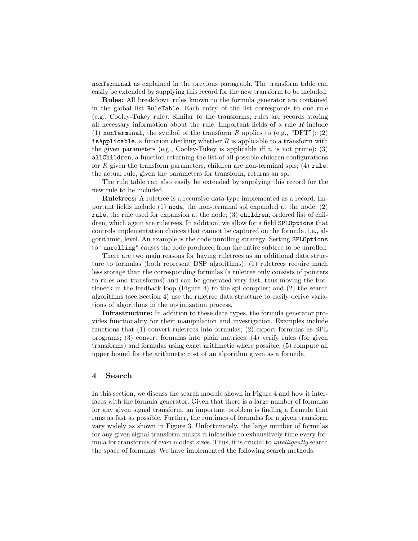nonTerminal as explained in the previous paragraph. The transform table can easily be extended by supplying this record for the new transform to be included.

Rules: All breakdown rules known to the formula generator are contained in the global list RuleTable. Each entry of the list corresponds to one rule (e.g., Cooley-Tukey rule). Similar to the transforms, rules are records storing all necessary information about the rule. Important fields of a rule R include (1) nonTerminal, the symbol of the transform R applies to (e.g., "DFT"); (2) isApplicable, a function checking whether  $R$  is applicable to a transform with the given parameters (e.g., Cooley-Tukey is applicable iff  $n$  is not prime); (3) allChildren, a function returning the list of all possible children configurations for R given the transform parameters, children are non-terminal spls; (4) rule, the actual rule, given the parameters for transform, returns an spl.

The rule table can also easily be extended by supplying this record for the new rule to be included.

Ruletrees: A ruletree is a recursive data type implemented as a record. Important fields include (1) node, the non-terminal spl expanded at the node; (2) rule, the rule used for expansion at the node; (3) children, ordered list of children, which again are ruletrees. In addition, we allow for a field SPLOptions that controls implementation choices that cannot be captured on the formula, i.e., algorithmic, level. An example is the code unrolling strategy. Setting SPLOptions to "unrolling" causes the code produced from the entire subtree to be unrolled.

There are two main reasons for having ruletrees as an additional data structure to formulas (both represent DSP algorithms): (1) ruletrees require much less storage than the corresponding formulas (a ruletree only consists of pointers to rules and transforms) and can be generated very fast, thus moving the bottleneck in the feedback loop (Figure 4) to the spl compiler; and (2) the search algorithms (see Section 4) use the ruletree data structure to easily derive variations of algorithms in the optimization process.

Infrastructure: In addition to these data types, the formula generator provides functionality for their manipulation and investigation. Examples include functions that (1) convert ruletrees into formulas; (2) export formulas as SPL programs; (3) convert formulas into plain matrices; (4) verify rules (for given transforms) and formulas using exact arithmetic where possible; (5) compute an upper bound for the arithmetic cost of an algorithm given as a formula.

# 4 Search

In this section, we discuss the search module shown in Figure 4 and how it interfaces with the formula generator. Given that there is a large number of formulas for any given signal transform, an important problem is finding a formula that runs as fast as possible. Further, the runtimes of formulas for a given transform vary widely as shown in Figure 3. Unfortunately, the large number of formulas for any given signal transform makes it infeasible to exhaustively time every formula for transforms of even modest sizes. Thus, it is crucial to intelligently search the space of formulas. We have implemented the following search methods.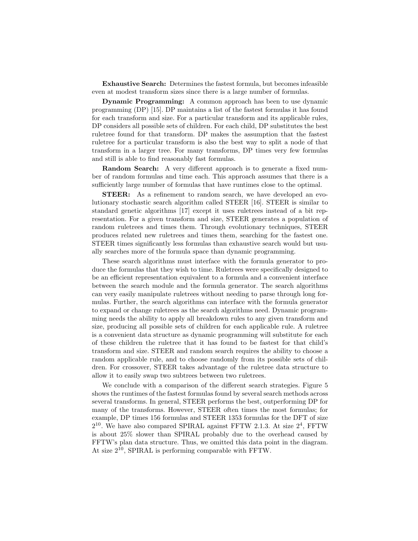Exhaustive Search: Determines the fastest formula, but becomes infeasible even at modest transform sizes since there is a large number of formulas.

Dynamic Programming: A common approach has been to use dynamic programming (DP) [15]. DP maintains a list of the fastest formulas it has found for each transform and size. For a particular transform and its applicable rules, DP considers all possible sets of children. For each child, DP substitutes the best ruletree found for that transform. DP makes the assumption that the fastest ruletree for a particular transform is also the best way to split a node of that transform in a larger tree. For many transforms, DP times very few formulas and still is able to find reasonably fast formulas.

Random Search: A very different approach is to generate a fixed number of random formulas and time each. This approach assumes that there is a sufficiently large number of formulas that have runtimes close to the optimal.

STEER: As a refinement to random search, we have developed an evolutionary stochastic search algorithm called STEER [16]. STEER is similar to standard genetic algorithms [17] except it uses ruletrees instead of a bit representation. For a given transform and size, STEER generates a population of random ruletrees and times them. Through evolutionary techniques, STEER produces related new ruletrees and times them, searching for the fastest one. STEER times significantly less formulas than exhaustive search would but usually searches more of the formula space than dynamic programming.

These search algorithms must interface with the formula generator to produce the formulas that they wish to time. Ruletrees were specifically designed to be an efficient representation equivalent to a formula and a convenient interface between the search module and the formula generator. The search algorithms can very easily manipulate ruletrees without needing to parse through long formulas. Further, the search algorithms can interface with the formula generator to expand or change ruletrees as the search algorithms need. Dynamic programming needs the ability to apply all breakdown rules to any given transform and size, producing all possible sets of children for each applicable rule. A ruletree is a convenient data structure as dynamic programming will substitute for each of these children the ruletree that it has found to be fastest for that child's transform and size. STEER and random search requires the ability to choose a random applicable rule, and to choose randomly from its possible sets of children. For crossover, STEER takes advantage of the ruletree data structure to allow it to easily swap two subtrees between two ruletrees.

We conclude with a comparison of the different search strategies. Figure 5 shows the runtimes of the fastest formulas found by several search methods across several transforms. In general, STEER performs the best, outperforming DP for many of the transforms. However, STEER often times the most formulas; for example, DP times 156 formulas and STEER 1353 formulas for the DFT of size  $2^{10}$ . We have also compared SPIRAL against FFTW 2.1.3. At size  $2^4$ , FFTW is about 25% slower than SPIRAL probably due to the overhead caused by FFTW's plan data structure. Thus, we omitted this data point in the diagram. At size 2<sup>10</sup>, SPIRAL is performing comparable with FFTW.